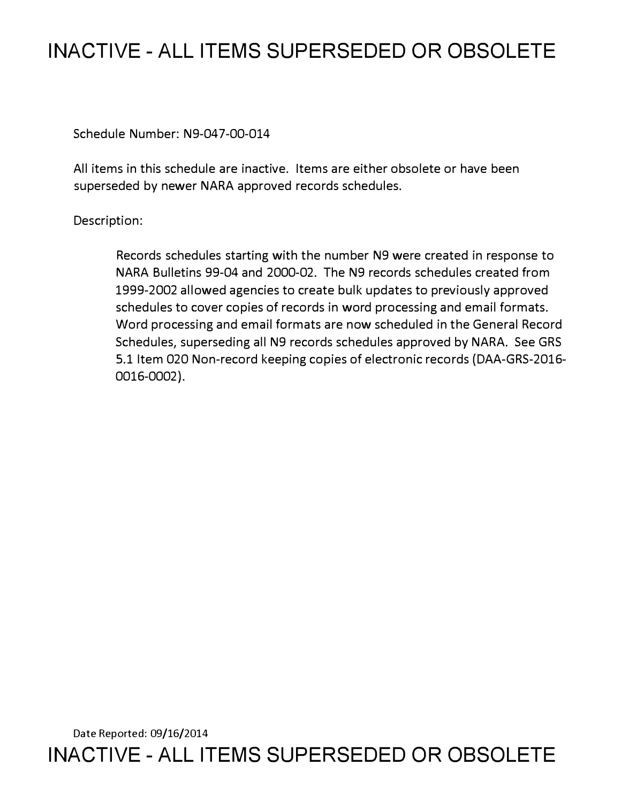## **INACTIVE - ALL ITEMS SUPERSEDED OR OBSOLETE**

Schedule Number: N9-047-00-014

All items in this schedule are inactive. Items are either obsolete or have been superseded by newer NARA approved records schedules.

Description:

Records schedules starting with the number N9 were created in response to NARA Bulletins 99-04 and 2000-02. The N9 records schedules created from 1999-2002 allowed agencies to create bulk updates to previously approved schedules to cover copies of records in word processing and email formats. Word processing and email formats are now scheduled in the General Record Schedules, superseding all N9 records schedules approved by NARA. See GRS 5.1 Item 020 Non-record keeping copies of electronic records (DAA-GRS-2016- 0016-0002).

Date Reported: 09/16/2014 **INACTIVE - ALL ITEMS SUPERSEDED OR OBSOLETE**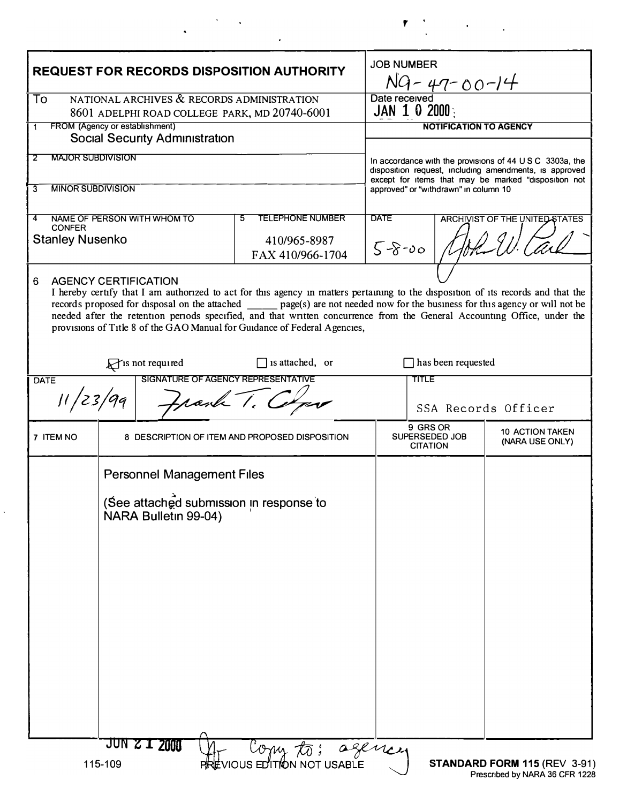| <b>REQUEST FOR RECORDS DISPOSITION AUTHORITY</b>                                                  |                                                                                                                                                                                                                          |                                                                  | <b>JOB NUMBER</b><br>NG-47-00-14                                                                                                                                                                                                |                                               |                                           |
|---------------------------------------------------------------------------------------------------|--------------------------------------------------------------------------------------------------------------------------------------------------------------------------------------------------------------------------|------------------------------------------------------------------|---------------------------------------------------------------------------------------------------------------------------------------------------------------------------------------------------------------------------------|-----------------------------------------------|-------------------------------------------|
| NATIONAL ARCHIVES & RECORDS ADMINISTRATION<br>To<br>8601 ADELPHI ROAD COLLEGE PARK, MD 20740-6001 |                                                                                                                                                                                                                          |                                                                  | Date received<br>JAN 1 0 2000 $\frac{1}{2}$                                                                                                                                                                                     |                                               |                                           |
|                                                                                                   | FROM (Agency or establishment)                                                                                                                                                                                           |                                                                  |                                                                                                                                                                                                                                 |                                               | <b>NOTIFICATION TO AGENCY</b>             |
|                                                                                                   | <b>Social Security Administration</b>                                                                                                                                                                                    |                                                                  |                                                                                                                                                                                                                                 |                                               |                                           |
| <b>MAJOR SUBDIVISION</b><br>2<br><b>MINOR SUBDIVISION</b><br>3                                    |                                                                                                                                                                                                                          |                                                                  | In accordance with the provisions of $44 \cup S \subset 3303a$ , the<br>disposition request, including amendments, is approved<br>except for items that may be marked "disposition not<br>approved" or "withdrawn" in column 10 |                                               |                                           |
|                                                                                                   |                                                                                                                                                                                                                          |                                                                  |                                                                                                                                                                                                                                 |                                               |                                           |
| NAME OF PERSON WITH WHOM TO<br>4<br><b>CONFER</b><br><b>Stanley Nusenko</b>                       |                                                                                                                                                                                                                          | <b>TELEPHONE NUMBER</b><br>5<br>410/965-8987<br>FAX 410/966-1704 | <b>DATE</b><br>$5 - 8 - 00$                                                                                                                                                                                                     | ARCHIVIST OF THE UNITED STATES                |                                           |
|                                                                                                   | needed after the retention periods specified, and that written concurrence from the General Accounting Office, under the<br>provisions of Title 8 of the GAO Manual for Guidance of Federal Agencies,<br>is not required | $\Box$ is attached, or                                           |                                                                                                                                                                                                                                 | $\Box$ has been requested                     |                                           |
| DATE                                                                                              | <b>SIGNATURE OF AGENCY REPRESENTATIVE</b>                                                                                                                                                                                |                                                                  |                                                                                                                                                                                                                                 | <b>TITLE</b>                                  |                                           |
|                                                                                                   |                                                                                                                                                                                                                          |                                                                  |                                                                                                                                                                                                                                 |                                               |                                           |
|                                                                                                   | Frank 1.                                                                                                                                                                                                                 |                                                                  |                                                                                                                                                                                                                                 |                                               | SSA Records Officer                       |
|                                                                                                   |                                                                                                                                                                                                                          | 8 DESCRIPTION OF ITEM AND PROPOSED DISPOSITION                   |                                                                                                                                                                                                                                 | 9 GRS OR<br>SUPERSEDED JOB<br><b>CITATION</b> | <b>10 ACTION TAKEN</b><br>(NARA USE ONLY) |
| 7 ITEM NO                                                                                         | <b>Personnel Management Files</b>                                                                                                                                                                                        |                                                                  |                                                                                                                                                                                                                                 |                                               |                                           |
|                                                                                                   | (See attached submission in response to<br>NARA Bulletin 99-04)                                                                                                                                                          |                                                                  |                                                                                                                                                                                                                                 |                                               |                                           |
|                                                                                                   |                                                                                                                                                                                                                          |                                                                  |                                                                                                                                                                                                                                 |                                               |                                           |
|                                                                                                   |                                                                                                                                                                                                                          |                                                                  |                                                                                                                                                                                                                                 |                                               |                                           |
|                                                                                                   |                                                                                                                                                                                                                          |                                                                  |                                                                                                                                                                                                                                 |                                               |                                           |

 $\frac{1}{\sqrt{2}}$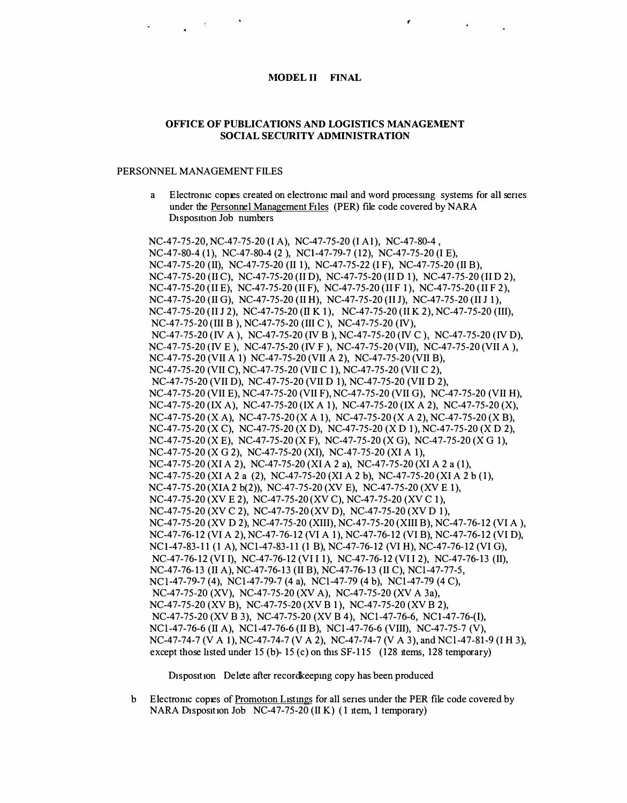## **MODEL II FINAL**

## OFFICE OF PUBLICATIONS AND LOGISTICS MANAGEMENT **SOCIAL SECURITY ADMINISTRATION**

## PERSONNEL MANAGEMENT FILES

a Electronic copies created on electronic mail and word processing systems for all series under the Personnel Management Files (PER) file code covered by NARA Disposition Job numbers

NC-47-75-20, NC-47-75-20 (I A), NC-47-75-20 (I A1), NC-47-80-4, NC-47-80-4 (1), NC-47-80-4 (2), NC1-47-79-7 (12), NC-47-75-20 (I E), NC-47-75-20 (II), NC-47-75-20 (II 1), NC-47-75-22 (I F), NC-47-75-20 (II B), NC-47-75-20 (II C), NC-47-75-20 (II D), NC-47-75-20 (II D 1), NC-47-75-20 (II D 2), NC-47-75-20 (II E), NC-47-75-20 (II F), NC-47-75-20 (II F 1), NC-47-75-20 (II F 2), NC-47-75-20 (II G), NC-47-75-20 (II H), NC-47-75-20 (II J), NC-47-75-20 (II J 1), NC-47-75-20 (II J 2), NC-47-75-20 (II K 1), NC-47-75-20 (II K 2), NC-47-75-20 (III), NC-47-75-20 (III B), NC-47-75-20 (III C), NC-47-75-20 (IV), NC-47-75-20 (IV A), NC-47-75-20 (IV B), NC-47-75-20 (IV C), NC-47-75-20 (IV D), NC-47-75-20 (IV E), NC-47-75-20 (IV F), NC-47-75-20 (VII), NC-47-75-20 (VII A), NC-47-75-20 (VII A 1) NC-47-75-20 (VII A 2), NC-47-75-20 (VII B), NC-47-75-20 (VII C), NC-47-75-20 (VII C 1), NC-47-75-20 (VII C 2), NC-47-75-20 (VII D), NC-47-75-20 (VII D 1), NC-47-75-20 (VII D 2), NC-47-75-20 (VII E), NC-47-75-20 (VII F), NC-47-75-20 (VII G), NC-47-75-20 (VII H),  $NC-47-75-20$  (IX A),  $NC-47-75-20$  (IX A 1),  $NC-47-75-20$  (IX A 2),  $NC-47-75-20$  (X),  $NC-47-75-20$  (X A),  $NC-47-75-20$  (X A 1),  $NC-47-75-20$  (X A 2),  $NC-47-75-20$  (X B),  $NC-47-75-20$  (X C),  $NC-47-75-20$  (X D),  $NC-47-75-20$  (X D 1),  $NC-47-75-20$  (X D 2),  $NC-47-75-20$  (X E),  $NC-47-75-20$  (X F),  $NC-47-75-20$  (X G),  $NC-47-75-20$  (X G 1), NC-47-75-20 (X G 2), NC-47-75-20 (XI), NC-47-75-20 (XI A 1), NC-47-75-20 (XI A 2), NC-47-75-20 (XI A 2 a), NC-47-75-20 (XI A 2 a (1), NC-47-75-20 (XI A 2 a (2), NC-47-75-20 (XI A 2 b), NC-47-75-20 (XI A 2 b (1), NC-47-75-20 (XIA 2 b(2)), NC-47-75-20 (XV E), NC-47-75-20 (XV E 1), NC-47-75-20 (XV E 2), NC-47-75-20 (XV C), NC-47-75-20 (XV C 1), NC-47-75-20 (XV C 2), NC-47-75-20 (XV D), NC-47-75-20 (XV D 1), NC-47-75-20 (XV D 2), NC-47-75-20 (XIII), NC-47-75-20 (XIII B), NC-47-76-12 (VI A), NC-47-76-12 (VI A 2), NC-47-76-12 (VI A 1), NC-47-76-12 (VI B), NC-47-76-12 (VI D), NC1-47-83-11 (1 A), NC1-47-83-11 (1 B), NC-47-76-12 (VI H), NC-47-76-12 (VI G), NC-47-76-12 (VI I), NC-47-76-12 (VI I 1), NC-47-76-12 (VI I 2), NC-47-76-13 (II), NC-47-76-13 (II A), NC-47-76-13 (II B), NC-47-76-13 (II C), NC1-47-77-5. NC1-47-79-7 (4), NC1-47-79-7 (4 a), NC1-47-79 (4 b), NC1-47-79 (4 C), NC-47-75-20 (XV), NC-47-75-20 (XV A), NC-47-75-20 (XV A 3a), NC-47-75-20 (XV B), NC-47-75-20 (XV B 1), NC-47-75-20 (XV B 2), NC-47-75-20 (XV B 3), NC-47-75-20 (XV B 4), NC1-47-76-6, NC1-47-76-(I), NC1-47-76-6 (II A), NC1-47-76-6 (II B), NC1-47-76-6 (VIII), NC-47-75-7 (V), NC-47-74-7 (V A 1), NC-47-74-7 (V A 2), NC-47-74-7 (V A 3), and NC1-47-81-9 (I H 3), except those listed under 15 (b)- 15 (c) on this  $SF-115$  (128 items, 128 temporary)

Disposition Delete after recordkeeping copy has been produced

b Electronic copies of Promotion Listings for all series under the PER file code covered by NARA Disposition Job NC-47-75-20 (II K) (1 item, 1 temporary)